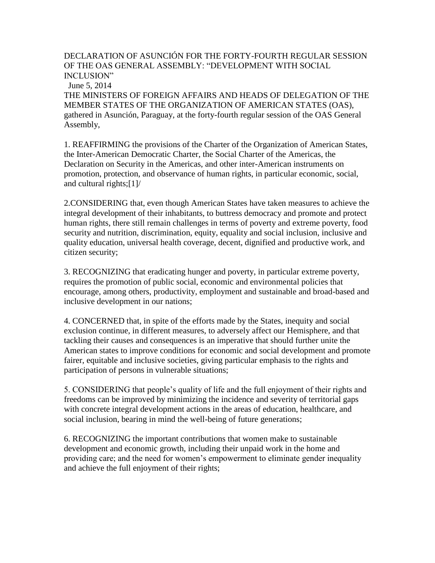DECLARATION OF ASUNCIÓN FOR THE FORTY-FOURTH REGULAR SESSION OF THE OAS GENERAL ASSEMBLY: "DEVELOPMENT WITH SOCIAL INCLUSION"

June 5, 2014

THE MINISTERS OF FOREIGN AFFAIRS AND HEADS OF DELEGATION OF THE MEMBER STATES OF THE ORGANIZATION OF AMERICAN STATES (OAS), gathered in Asunción, Paraguay, at the forty-fourth regular session of the OAS General Assembly,

1. REAFFIRMING the provisions of the Charter of the Organization of American States, the Inter-American Democratic Charter, the Social Charter of the Americas, the Declaration on Security in the Americas, and other inter-American instruments on promotion, protection, and observance of human rights, in particular economic, social, and cultural rights;[1]/

2.CONSIDERING that, even though American States have taken measures to achieve the integral development of their inhabitants, to buttress democracy and promote and protect human rights, there still remain challenges in terms of poverty and extreme poverty, food security and nutrition, discrimination, equity, equality and social inclusion, inclusive and quality education, universal health coverage, decent, dignified and productive work, and citizen security;

3. RECOGNIZING that eradicating hunger and poverty, in particular extreme poverty, requires the promotion of public social, economic and environmental policies that encourage, among others, productivity, employment and sustainable and broad-based and inclusive development in our nations;

4. CONCERNED that, in spite of the efforts made by the States, inequity and social exclusion continue, in different measures, to adversely affect our Hemisphere, and that tackling their causes and consequences is an imperative that should further unite the American states to improve conditions for economic and social development and promote fairer, equitable and inclusive societies, giving particular emphasis to the rights and participation of persons in vulnerable situations;

5. CONSIDERING that people's quality of life and the full enjoyment of their rights and freedoms can be improved by minimizing the incidence and severity of territorial gaps with concrete integral development actions in the areas of education, healthcare, and social inclusion, bearing in mind the well-being of future generations;

6. RECOGNIZING the important contributions that women make to sustainable development and economic growth, including their unpaid work in the home and providing care; and the need for women's empowerment to eliminate gender inequality and achieve the full enjoyment of their rights;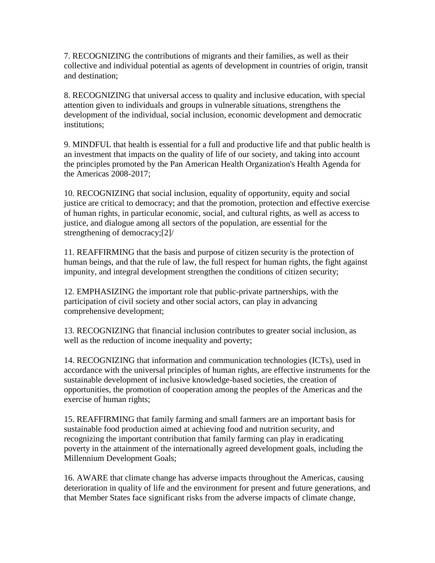7. RECOGNIZING the contributions of migrants and their families, as well as their collective and individual potential as agents of development in countries of origin, transit and destination;

8. RECOGNIZING that universal access to quality and inclusive education, with special attention given to individuals and groups in vulnerable situations, strengthens the development of the individual, social inclusion, economic development and democratic institutions;

9. MINDFUL that health is essential for a full and productive life and that public health is an investment that impacts on the quality of life of our society, and taking into account the principles promoted by the Pan American Health Organization's Health Agenda for the Americas 2008-2017;

10. RECOGNIZING that social inclusion, equality of opportunity, equity and social justice are critical to democracy; and that the promotion, protection and effective exercise of human rights, in particular economic, social, and cultural rights, as well as access to justice, and dialogue among all sectors of the population, are essential for the strengthening of democracy;[2]/

11. REAFFIRMING that the basis and purpose of citizen security is the protection of human beings, and that the rule of law, the full respect for human rights, the fight against impunity, and integral development strengthen the conditions of citizen security;

12. EMPHASIZING the important role that public-private partnerships, with the participation of civil society and other social actors, can play in advancing comprehensive development;

13. RECOGNIZING that financial inclusion contributes to greater social inclusion, as well as the reduction of income inequality and poverty;

14. RECOGNIZING that information and communication technologies (ICTs), used in accordance with the universal principles of human rights, are effective instruments for the sustainable development of inclusive knowledge-based societies, the creation of opportunities, the promotion of cooperation among the peoples of the Americas and the exercise of human rights;

15. REAFFIRMING that family farming and small farmers are an important basis for sustainable food production aimed at achieving food and nutrition security, and recognizing the important contribution that family farming can play in eradicating poverty in the attainment of the internationally agreed development goals, including the Millennium Development Goals;

16. AWARE that climate change has adverse impacts throughout the Americas, causing deterioration in quality of life and the environment for present and future generations, and that Member States face significant risks from the adverse impacts of climate change,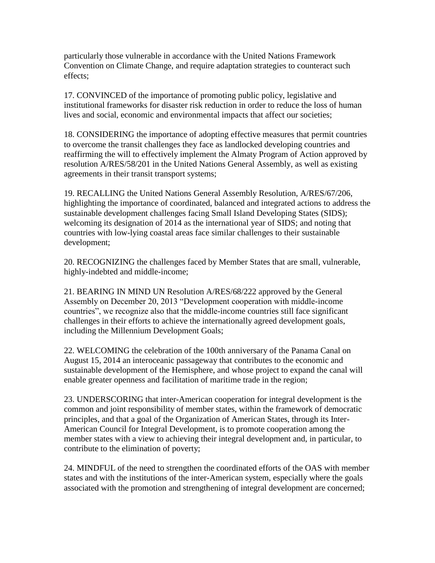particularly those vulnerable in accordance with the United Nations Framework Convention on Climate Change, and require adaptation strategies to counteract such effects;

17. CONVINCED of the importance of promoting public policy, legislative and institutional frameworks for disaster risk reduction in order to reduce the loss of human lives and social, economic and environmental impacts that affect our societies;

18. CONSIDERING the importance of adopting effective measures that permit countries to overcome the transit challenges they face as landlocked developing countries and reaffirming the will to effectively implement the Almaty Program of Action approved by resolution A/RES/58/201 in the United Nations General Assembly, as well as existing agreements in their transit transport systems;

19. RECALLING the United Nations General Assembly Resolution, A/RES/67/206, highlighting the importance of coordinated, balanced and integrated actions to address the sustainable development challenges facing Small Island Developing States (SIDS); welcoming its designation of 2014 as the international year of SIDS; and noting that countries with low-lying coastal areas face similar challenges to their sustainable development;

20. RECOGNIZING the challenges faced by Member States that are small, vulnerable, highly-indebted and middle-income;

21. BEARING IN MIND UN Resolution A/RES/68/222 approved by the General Assembly on December 20, 2013 "Development cooperation with middle-income countries", we recognize also that the middle-income countries still face significant challenges in their efforts to achieve the internationally agreed development goals, including the Millennium Development Goals;

22. WELCOMING the celebration of the 100th anniversary of the Panama Canal on August 15, 2014 an interoceanic passageway that contributes to the economic and sustainable development of the Hemisphere, and whose project to expand the canal will enable greater openness and facilitation of maritime trade in the region;

23. UNDERSCORING that inter-American cooperation for integral development is the common and joint responsibility of member states, within the framework of democratic principles, and that a goal of the Organization of American States, through its Inter-American Council for Integral Development, is to promote cooperation among the member states with a view to achieving their integral development and, in particular, to contribute to the elimination of poverty;

24. MINDFUL of the need to strengthen the coordinated efforts of the OAS with member states and with the institutions of the inter-American system, especially where the goals associated with the promotion and strengthening of integral development are concerned;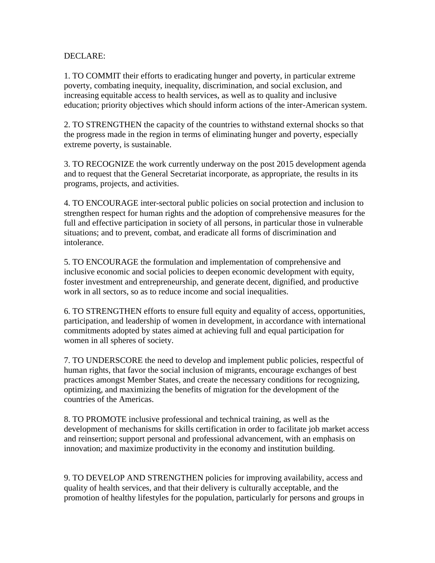## DECLARE:

1. TO COMMIT their efforts to eradicating hunger and poverty, in particular extreme poverty, combating inequity, inequality, discrimination, and social exclusion, and increasing equitable access to health services, as well as to quality and inclusive education; priority objectives which should inform actions of the inter-American system.

2. TO STRENGTHEN the capacity of the countries to withstand external shocks so that the progress made in the region in terms of eliminating hunger and poverty, especially extreme poverty, is sustainable.

3. TO RECOGNIZE the work currently underway on the post 2015 development agenda and to request that the General Secretariat incorporate, as appropriate, the results in its programs, projects, and activities.

4. TO ENCOURAGE inter-sectoral public policies on social protection and inclusion to strengthen respect for human rights and the adoption of comprehensive measures for the full and effective participation in society of all persons, in particular those in vulnerable situations; and to prevent, combat, and eradicate all forms of discrimination and intolerance.

5. TO ENCOURAGE the formulation and implementation of comprehensive and inclusive economic and social policies to deepen economic development with equity, foster investment and entrepreneurship, and generate decent, dignified, and productive work in all sectors, so as to reduce income and social inequalities.

6. TO STRENGTHEN efforts to ensure full equity and equality of access, opportunities, participation, and leadership of women in development, in accordance with international commitments adopted by states aimed at achieving full and equal participation for women in all spheres of society.

7. TO UNDERSCORE the need to develop and implement public policies, respectful of human rights, that favor the social inclusion of migrants, encourage exchanges of best practices amongst Member States, and create the necessary conditions for recognizing, optimizing, and maximizing the benefits of migration for the development of the countries of the Americas.

8. TO PROMOTE inclusive professional and technical training, as well as the development of mechanisms for skills certification in order to facilitate job market access and reinsertion; support personal and professional advancement, with an emphasis on innovation; and maximize productivity in the economy and institution building.

9. TO DEVELOP AND STRENGTHEN policies for improving availability, access and quality of health services, and that their delivery is culturally acceptable, and the promotion of healthy lifestyles for the population, particularly for persons and groups in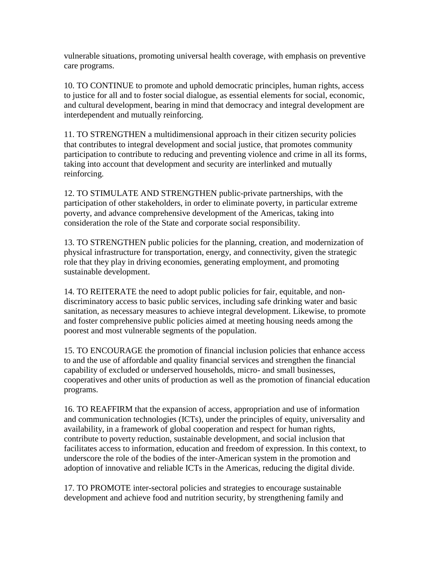vulnerable situations, promoting universal health coverage, with emphasis on preventive care programs.

10. TO CONTINUE to promote and uphold democratic principles, human rights, access to justice for all and to foster social dialogue, as essential elements for social, economic, and cultural development, bearing in mind that democracy and integral development are interdependent and mutually reinforcing.

11. TO STRENGTHEN a multidimensional approach in their citizen security policies that contributes to integral development and social justice, that promotes community participation to contribute to reducing and preventing violence and crime in all its forms, taking into account that development and security are interlinked and mutually reinforcing.

12. TO STIMULATE AND STRENGTHEN public-private partnerships, with the participation of other stakeholders, in order to eliminate poverty, in particular extreme poverty, and advance comprehensive development of the Americas, taking into consideration the role of the State and corporate social responsibility.

13. TO STRENGTHEN public policies for the planning, creation, and modernization of physical infrastructure for transportation, energy, and connectivity, given the strategic role that they play in driving economies, generating employment, and promoting sustainable development.

14. TO REITERATE the need to adopt public policies for fair, equitable, and nondiscriminatory access to basic public services, including safe drinking water and basic sanitation, as necessary measures to achieve integral development. Likewise, to promote and foster comprehensive public policies aimed at meeting housing needs among the poorest and most vulnerable segments of the population.

15. TO ENCOURAGE the promotion of financial inclusion policies that enhance access to and the use of affordable and quality financial services and strengthen the financial capability of excluded or underserved households, micro- and small businesses, cooperatives and other units of production as well as the promotion of financial education programs.

16. TO REAFFIRM that the expansion of access, appropriation and use of information and communication technologies (ICTs), under the principles of equity, universality and availability, in a framework of global cooperation and respect for human rights, contribute to poverty reduction, sustainable development, and social inclusion that facilitates access to information, education and freedom of expression. In this context, to underscore the role of the bodies of the inter-American system in the promotion and adoption of innovative and reliable ICTs in the Americas, reducing the digital divide.

17. TO PROMOTE inter-sectoral policies and strategies to encourage sustainable development and achieve food and nutrition security, by strengthening family and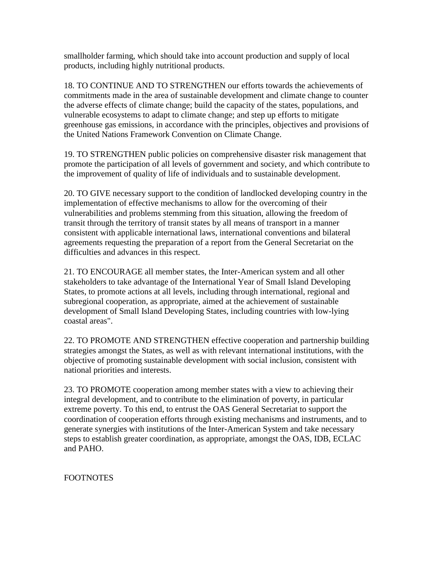smallholder farming, which should take into account production and supply of local products, including highly nutritional products.

18. TO CONTINUE AND TO STRENGTHEN our efforts towards the achievements of commitments made in the area of sustainable development and climate change to counter the adverse effects of climate change; build the capacity of the states, populations, and vulnerable ecosystems to adapt to climate change; and step up efforts to mitigate greenhouse gas emissions, in accordance with the principles, objectives and provisions of the United Nations Framework Convention on Climate Change.

19. TO STRENGTHEN public policies on comprehensive disaster risk management that promote the participation of all levels of government and society, and which contribute to the improvement of quality of life of individuals and to sustainable development.

20. TO GIVE necessary support to the condition of landlocked developing country in the implementation of effective mechanisms to allow for the overcoming of their vulnerabilities and problems stemming from this situation, allowing the freedom of transit through the territory of transit states by all means of transport in a manner consistent with applicable international laws, international conventions and bilateral agreements requesting the preparation of a report from the General Secretariat on the difficulties and advances in this respect.

21. TO ENCOURAGE all member states, the Inter-American system and all other stakeholders to take advantage of the International Year of Small Island Developing States, to promote actions at all levels, including through international, regional and subregional cooperation, as appropriate, aimed at the achievement of sustainable development of Small Island Developing States, including countries with low-lying coastal areas".

22. TO PROMOTE AND STRENGTHEN effective cooperation and partnership building strategies amongst the States, as well as with relevant international institutions, with the objective of promoting sustainable development with social inclusion, consistent with national priorities and interests.

23. TO PROMOTE cooperation among member states with a view to achieving their integral development, and to contribute to the elimination of poverty, in particular extreme poverty. To this end, to entrust the OAS General Secretariat to support the coordination of cooperation efforts through existing mechanisms and instruments, and to generate synergies with institutions of the Inter-American System and take necessary steps to establish greater coordination, as appropriate, amongst the OAS, IDB, ECLAC and PAHO.

FOOTNOTES